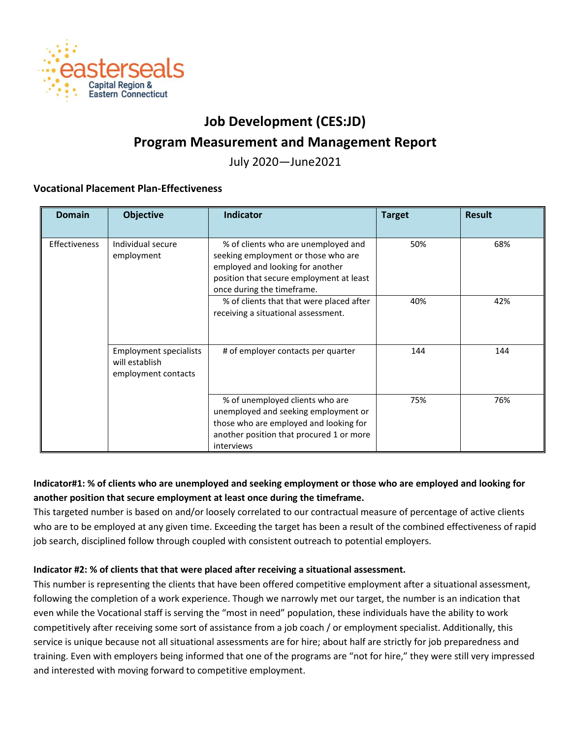

# **Job Development (CES:JD)**

# **Program Measurement and Management Report**

July 2020—June2021

## **Vocational Placement Plan-Effectiveness**

| <b>Domain</b>        | <b>Objective</b>                                                       | <b>Indicator</b>                                                                                                                                                                         | <b>Target</b> | <b>Result</b> |
|----------------------|------------------------------------------------------------------------|------------------------------------------------------------------------------------------------------------------------------------------------------------------------------------------|---------------|---------------|
| <b>Effectiveness</b> | Individual secure<br>employment                                        | % of clients who are unemployed and<br>seeking employment or those who are<br>employed and looking for another<br>position that secure employment at least<br>once during the timeframe. | 50%           | 68%           |
|                      |                                                                        | % of clients that that were placed after<br>receiving a situational assessment.                                                                                                          | 40%           | 42%           |
|                      | <b>Employment specialists</b><br>will establish<br>employment contacts | # of employer contacts per quarter                                                                                                                                                       | 144           | 144           |
|                      |                                                                        | % of unemployed clients who are<br>unemployed and seeking employment or<br>those who are employed and looking for<br>another position that procured 1 or more<br>interviews              | 75%           | 76%           |

## **Indicator#1: % of clients who are unemployed and seeking employment or those who are employed and looking for another position that secure employment at least once during the timeframe.**

This targeted number is based on and/or loosely correlated to our contractual measure of percentage of active clients who are to be employed at any given time. Exceeding the target has been a result of the combined effectiveness of rapid job search, disciplined follow through coupled with consistent outreach to potential employers.

## **Indicator #2: % of clients that that were placed after receiving a situational assessment.**

This number is representing the clients that have been offered competitive employment after a situational assessment, following the completion of a work experience. Though we narrowly met our target, the number is an indication that even while the Vocational staff is serving the "most in need" population, these individuals have the ability to work competitively after receiving some sort of assistance from a job coach / or employment specialist. Additionally, this service is unique because not all situational assessments are for hire; about half are strictly for job preparedness and training. Even with employers being informed that one of the programs are "not for hire," they were still very impressed and interested with moving forward to competitive employment.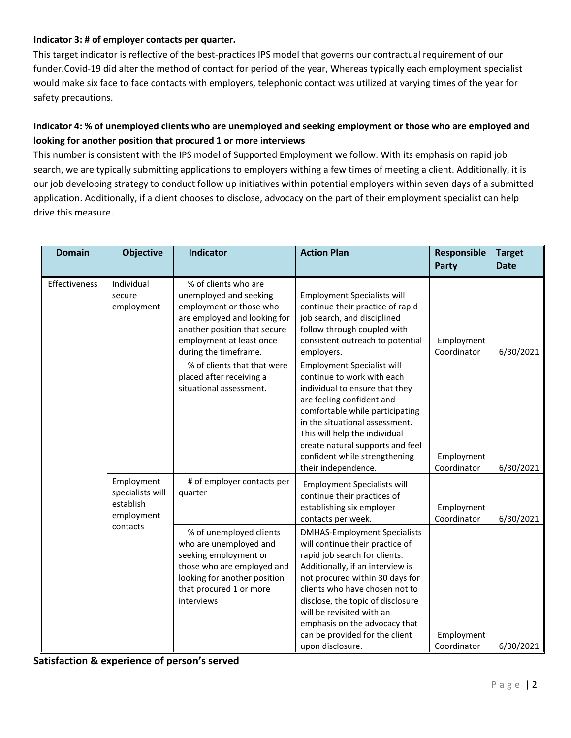#### **Indicator 3: # of employer contacts per quarter.**

This target indicator is reflective of the best-practices IPS model that governs our contractual requirement of our funder.Covid-19 did alter the method of contact for period of the year, Whereas typically each employment specialist would make six face to face contacts with employers, telephonic contact was utilized at varying times of the year for safety precautions.

# **Indicator 4: % of unemployed clients who are unemployed and seeking employment or those who are employed and looking for another position that procured 1 or more interviews**

This number is consistent with the IPS model of Supported Employment we follow. With its emphasis on rapid job search, we are typically submitting applications to employers withing a few times of meeting a client. Additionally, it is our job developing strategy to conduct follow up initiatives within potential employers within seven days of a submitted application. Additionally, if a client chooses to disclose, advocacy on the part of their employment specialist can help drive this measure.

| <b>Domain</b> | <b>Objective</b>                                          | <b>Indicator</b>                                                                                                                                                                               | <b>Action Plan</b>                                                                                                                                                                                                                                                                                                                                                        | Responsible<br>Party      | <b>Target</b><br><b>Date</b> |
|---------------|-----------------------------------------------------------|------------------------------------------------------------------------------------------------------------------------------------------------------------------------------------------------|---------------------------------------------------------------------------------------------------------------------------------------------------------------------------------------------------------------------------------------------------------------------------------------------------------------------------------------------------------------------------|---------------------------|------------------------------|
| Effectiveness | Individual<br>secure<br>employment                        | % of clients who are<br>unemployed and seeking<br>employment or those who<br>are employed and looking for<br>another position that secure<br>employment at least once<br>during the timeframe. | <b>Employment Specialists will</b><br>continue their practice of rapid<br>job search, and disciplined<br>follow through coupled with<br>consistent outreach to potential<br>employers.                                                                                                                                                                                    | Employment<br>Coordinator | 6/30/2021                    |
|               |                                                           | % of clients that that were<br>placed after receiving a<br>situational assessment.                                                                                                             | <b>Employment Specialist will</b><br>continue to work with each<br>individual to ensure that they<br>are feeling confident and<br>comfortable while participating<br>in the situational assessment.<br>This will help the individual<br>create natural supports and feel<br>confident while strengthening<br>their independence.                                          | Employment<br>Coordinator | 6/30/2021                    |
|               | Employment<br>specialists will<br>establish<br>employment | # of employer contacts per<br>quarter                                                                                                                                                          | <b>Employment Specialists will</b><br>continue their practices of<br>establishing six employer<br>contacts per week.                                                                                                                                                                                                                                                      | Employment<br>Coordinator | 6/30/2021                    |
|               | contacts                                                  | % of unemployed clients<br>who are unemployed and<br>seeking employment or<br>those who are employed and<br>looking for another position<br>that procured 1 or more<br>interviews              | <b>DMHAS-Employment Specialists</b><br>will continue their practice of<br>rapid job search for clients.<br>Additionally, if an interview is<br>not procured within 30 days for<br>clients who have chosen not to<br>disclose, the topic of disclosure<br>will be revisited with an<br>emphasis on the advocacy that<br>can be provided for the client<br>upon disclosure. | Employment<br>Coordinator | 6/30/2021                    |

## **Satisfaction & experience of person's served**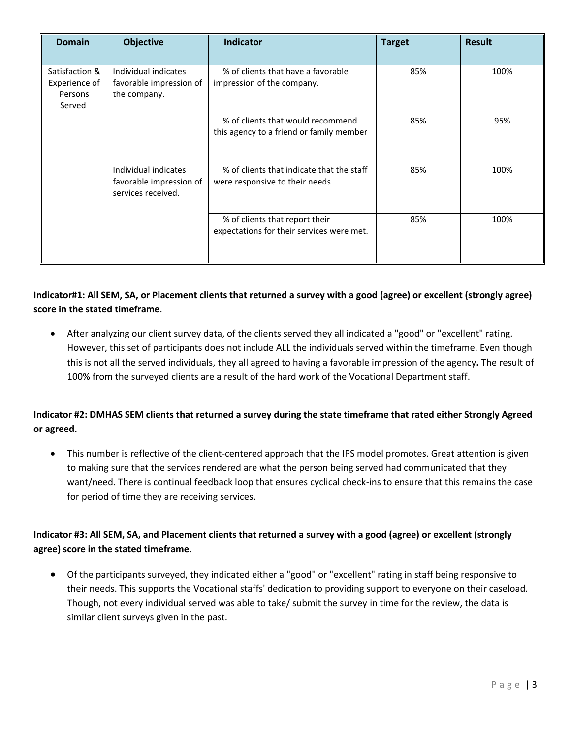| <b>Domain</b>                                        | <b>Objective</b>                                                      | <b>Indicator</b>                                                              | <b>Target</b> | <b>Result</b> |
|------------------------------------------------------|-----------------------------------------------------------------------|-------------------------------------------------------------------------------|---------------|---------------|
| Satisfaction &<br>Experience of<br>Persons<br>Served | Individual indicates<br>favorable impression of<br>the company.       | % of clients that have a favorable<br>impression of the company.              | 85%           | 100%          |
|                                                      |                                                                       | % of clients that would recommend<br>this agency to a friend or family member | 85%           | 95%           |
|                                                      | Individual indicates<br>favorable impression of<br>services received. | % of clients that indicate that the staff<br>were responsive to their needs   | 85%           | 100%          |
|                                                      |                                                                       | % of clients that report their<br>expectations for their services were met.   | 85%           | 100%          |

# **Indicator#1: All SEM, SA, or Placement clients that returned a survey with a good (agree) or excellent (strongly agree) score in the stated timeframe**.

• After analyzing our client survey data, of the clients served they all indicated a "good" or "excellent" rating. However, this set of participants does not include ALL the individuals served within the timeframe. Even though this is not all the served individuals, they all agreed to having a favorable impression of the agency**.** The result of 100% from the surveyed clients are a result of the hard work of the Vocational Department staff.

# **Indicator #2: DMHAS SEM clients that returned a survey during the state timeframe that rated either Strongly Agreed or agreed.**

• This number is reflective of the client-centered approach that the IPS model promotes. Great attention is given to making sure that the services rendered are what the person being served had communicated that they want/need. There is continual feedback loop that ensures cyclical check-ins to ensure that this remains the case for period of time they are receiving services.

# **Indicator #3: All SEM, SA, and Placement clients that returned a survey with a good (agree) or excellent (strongly agree) score in the stated timeframe.**

• Of the participants surveyed, they indicated either a "good" or "excellent" rating in staff being responsive to their needs. This supports the Vocational staffs' dedication to providing support to everyone on their caseload. Though, not every individual served was able to take/ submit the survey in time for the review, the data is similar client surveys given in the past.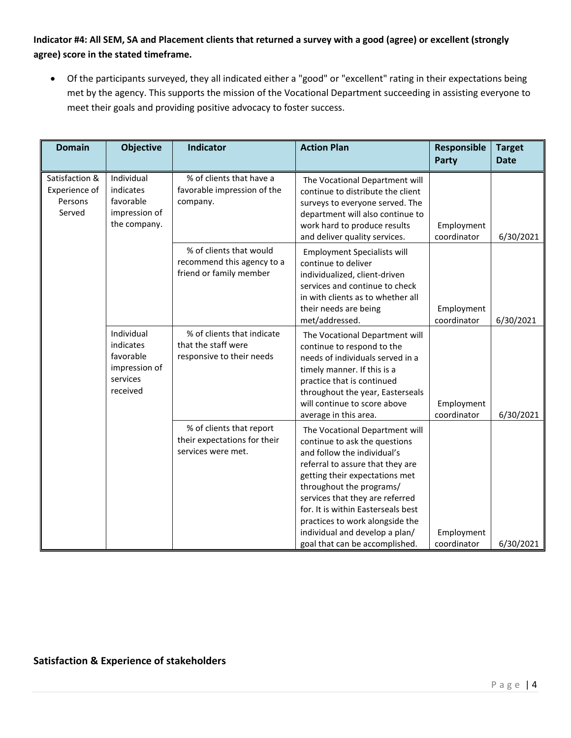# **Indicator #4: All SEM, SA and Placement clients that returned a survey with a good (agree) or excellent (strongly agree) score in the stated timeframe.**

• Of the participants surveyed, they all indicated either a "good" or "excellent" rating in their expectations being met by the agency. This supports the mission of the Vocational Department succeeding in assisting everyone to meet their goals and providing positive advocacy to foster success.

| <b>Domain</b>                                        | <b>Objective</b>                                                              | <b>Indicator</b>                                                                 | <b>Action Plan</b>                                                                                                                                                                                                                                                                                                                                                               | Responsible<br>Party      | <b>Target</b><br><b>Date</b> |
|------------------------------------------------------|-------------------------------------------------------------------------------|----------------------------------------------------------------------------------|----------------------------------------------------------------------------------------------------------------------------------------------------------------------------------------------------------------------------------------------------------------------------------------------------------------------------------------------------------------------------------|---------------------------|------------------------------|
| Satisfaction &<br>Experience of<br>Persons<br>Served | Individual<br>indicates<br>favorable<br>impression of<br>the company.         | % of clients that have a<br>favorable impression of the<br>company.              | The Vocational Department will<br>continue to distribute the client<br>surveys to everyone served. The<br>department will also continue to<br>work hard to produce results<br>and deliver quality services.                                                                                                                                                                      | Employment<br>coordinator | 6/30/2021                    |
|                                                      |                                                                               | % of clients that would<br>recommend this agency to a<br>friend or family member | <b>Employment Specialists will</b><br>continue to deliver<br>individualized, client-driven<br>services and continue to check<br>in with clients as to whether all<br>their needs are being<br>met/addressed.                                                                                                                                                                     | Employment<br>coordinator | 6/30/2021                    |
|                                                      | Individual<br>indicates<br>favorable<br>impression of<br>services<br>received | % of clients that indicate<br>that the staff were<br>responsive to their needs   | The Vocational Department will<br>continue to respond to the<br>needs of individuals served in a<br>timely manner. If this is a<br>practice that is continued<br>throughout the year, Easterseals<br>will continue to score above<br>average in this area.                                                                                                                       | Employment<br>coordinator | 6/30/2021                    |
|                                                      |                                                                               | % of clients that report<br>their expectations for their<br>services were met.   | The Vocational Department will<br>continue to ask the questions<br>and follow the individual's<br>referral to assure that they are<br>getting their expectations met<br>throughout the programs/<br>services that they are referred<br>for. It is within Easterseals best<br>practices to work alongside the<br>individual and develop a plan/<br>goal that can be accomplished. | Employment<br>coordinator | 6/30/2021                    |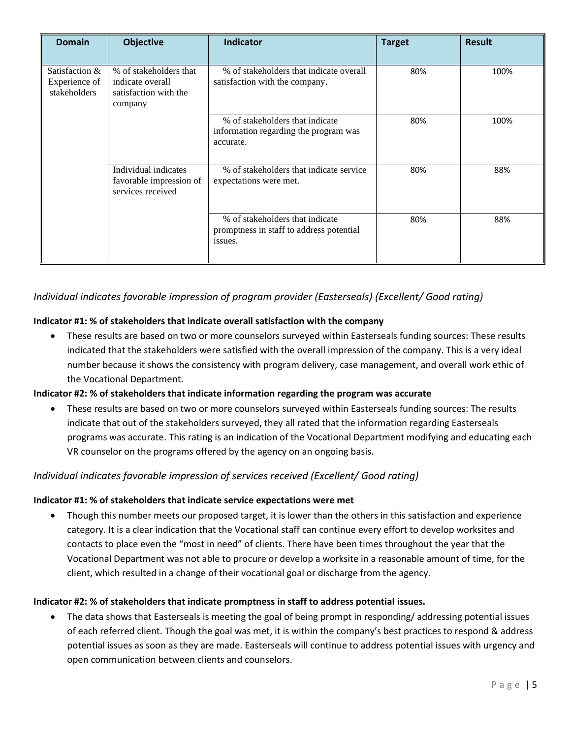| <b>Domain</b>                                   | <b>Objective</b>                                                               | <b>Indicator</b>                                                                       | <b>Target</b> | <b>Result</b> |
|-------------------------------------------------|--------------------------------------------------------------------------------|----------------------------------------------------------------------------------------|---------------|---------------|
| Satisfaction &<br>Experience of<br>stakeholders | % of stakeholders that<br>indicate overall<br>satisfaction with the<br>company | % of stakeholders that indicate overall<br>satisfaction with the company.              | 80%           | 100%          |
|                                                 |                                                                                | % of stakeholders that indicate<br>information regarding the program was<br>accurate.  | 80%           | 100%          |
|                                                 | Individual indicates<br>favorable impression of<br>services received           | % of stakeholders that indicate service<br>expectations were met.                      | 80%           | 88%           |
|                                                 |                                                                                | % of stakeholders that indicate<br>promptness in staff to address potential<br>issues. | 80%           | 88%           |

# *Individual indicates favorable impression of program provider (Easterseals) (Excellent/ Good rating)*

#### **Indicator #1: % of stakeholders that indicate overall satisfaction with the company**

• These results are based on two or more counselors surveyed within Easterseals funding sources: These results indicated that the stakeholders were satisfied with the overall impression of the company. This is a very ideal number because it shows the consistency with program delivery, case management, and overall work ethic of the Vocational Department.

#### **Indicator #2: % of stakeholders that indicate information regarding the program was accurate**

• These results are based on two or more counselors surveyed within Easterseals funding sources: The results indicate that out of the stakeholders surveyed, they all rated that the information regarding Easterseals programs was accurate. This rating is an indication of the Vocational Department modifying and educating each VR counselor on the programs offered by the agency on an ongoing basis.

## *Individual indicates favorable impression of services received (Excellent/ Good rating)*

#### **Indicator #1: % of stakeholders that indicate service expectations were met**

• Though this number meets our proposed target, it is lower than the others in this satisfaction and experience category. It is a clear indication that the Vocational staff can continue every effort to develop worksites and contacts to place even the "most in need" of clients. There have been times throughout the year that the Vocational Department was not able to procure or develop a worksite in a reasonable amount of time, for the client, which resulted in a change of their vocational goal or discharge from the agency.

#### **Indicator #2: % of stakeholders that indicate promptness in staff to address potential issues.**

• The data shows that Easterseals is meeting the goal of being prompt in responding/ addressing potential issues of each referred client. Though the goal was met, it is within the company's best practices to respond & address potential issues as soon as they are made. Easterseals will continue to address potential issues with urgency and open communication between clients and counselors.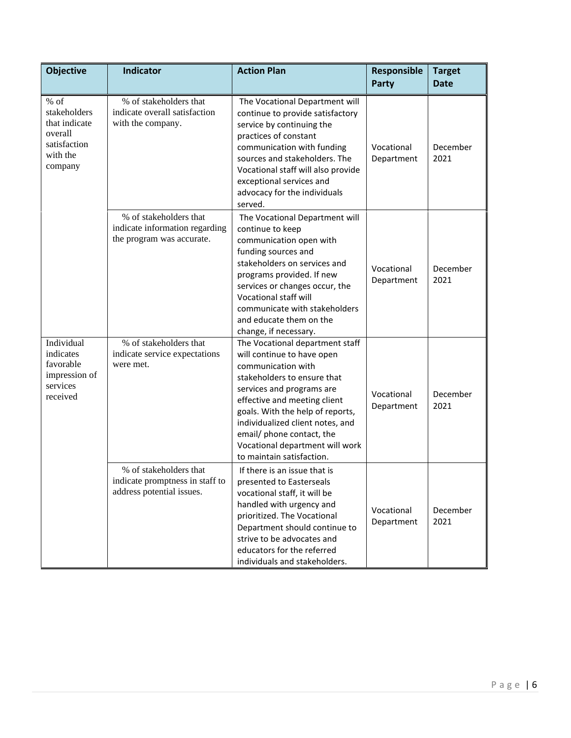| <b>Objective</b>                                                                          | Indicator                                                                              | <b>Action Plan</b>                                                                                                                                                                                                                                                                                                                                   | Responsible<br><b>Party</b> | <b>Target</b><br><b>Date</b> |
|-------------------------------------------------------------------------------------------|----------------------------------------------------------------------------------------|------------------------------------------------------------------------------------------------------------------------------------------------------------------------------------------------------------------------------------------------------------------------------------------------------------------------------------------------------|-----------------------------|------------------------------|
| $%$ of<br>stakeholders<br>that indicate<br>overall<br>satisfaction<br>with the<br>company | % of stakeholders that<br>indicate overall satisfaction<br>with the company.           | The Vocational Department will<br>continue to provide satisfactory<br>service by continuing the<br>practices of constant<br>communication with funding<br>sources and stakeholders. The<br>Vocational staff will also provide<br>exceptional services and<br>advocacy for the individuals<br>served.                                                 | Vocational<br>Department    | December<br>2021             |
|                                                                                           | % of stakeholders that<br>indicate information regarding<br>the program was accurate.  | The Vocational Department will<br>continue to keep<br>communication open with<br>funding sources and<br>stakeholders on services and<br>programs provided. If new<br>services or changes occur, the<br>Vocational staff will<br>communicate with stakeholders<br>and educate them on the<br>change, if necessary.                                    | Vocational<br>Department    | December<br>2021             |
| Individual<br>indicates<br>favorable<br>impression of<br>services<br>received             | % of stakeholders that<br>indicate service expectations<br>were met.                   | The Vocational department staff<br>will continue to have open<br>communication with<br>stakeholders to ensure that<br>services and programs are<br>effective and meeting client<br>goals. With the help of reports,<br>individualized client notes, and<br>email/ phone contact, the<br>Vocational department will work<br>to maintain satisfaction. | Vocational<br>Department    | December<br>2021             |
|                                                                                           | % of stakeholders that<br>indicate promptness in staff to<br>address potential issues. | If there is an issue that is<br>presented to Easterseals<br>vocational staff, it will be<br>handled with urgency and<br>prioritized. The Vocational<br>Department should continue to<br>strive to be advocates and<br>educators for the referred<br>individuals and stakeholders.                                                                    | Vocational<br>Department    | December<br>2021             |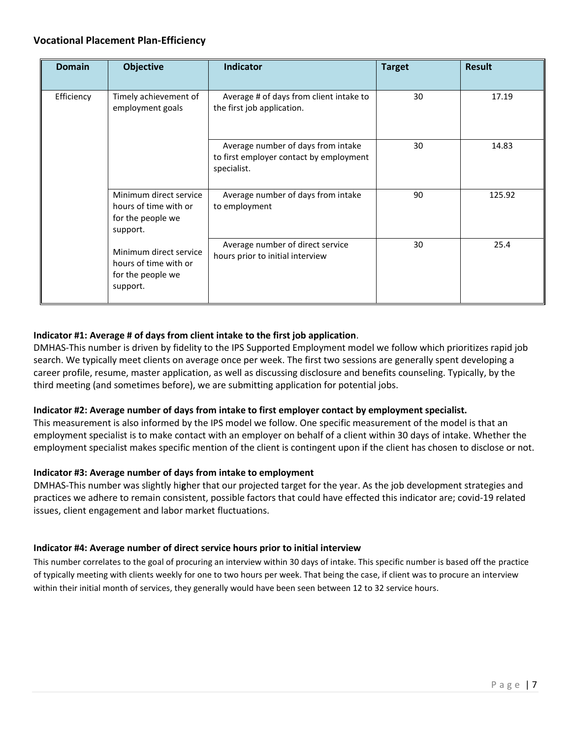## **Vocational Placement Plan-Efficiency**

| <b>Domain</b> | <b>Objective</b>                                                                 | Indicator                                                                                    | <b>Target</b> | <b>Result</b> |
|---------------|----------------------------------------------------------------------------------|----------------------------------------------------------------------------------------------|---------------|---------------|
| Efficiency    | Timely achievement of<br>employment goals                                        | Average # of days from client intake to<br>the first job application.                        | 30            | 17.19         |
|               |                                                                                  | Average number of days from intake<br>to first employer contact by employment<br>specialist. | 30            | 14.83         |
|               | Minimum direct service<br>hours of time with or<br>for the people we<br>support. | Average number of days from intake<br>to employment                                          | 90            | 125.92        |
|               | Minimum direct service<br>hours of time with or<br>for the people we<br>support. | Average number of direct service<br>hours prior to initial interview                         | 30            | 25.4          |

#### **Indicator #1: Average # of days from client intake to the first job application**.

DMHAS-This number is driven by fidelity to the IPS Supported Employment model we follow which prioritizes rapid job search. We typically meet clients on average once per week. The first two sessions are generally spent developing a career profile, resume, master application, as well as discussing disclosure and benefits counseling. Typically, by the third meeting (and sometimes before), we are submitting application for potential jobs.

#### **Indicator #2: Average number of days from intake to first employer contact by employment specialist.**

This measurement is also informed by the IPS model we follow. One specific measurement of the model is that an employment specialist is to make contact with an employer on behalf of a client within 30 days of intake. Whether the employment specialist makes specific mention of the client is contingent upon if the client has chosen to disclose or not.

#### **Indicator #3: Average number of days from intake to employment**

DMHAS-This number was slightly hi**g**her that our projected target for the year. As the job development strategies and practices we adhere to remain consistent, possible factors that could have effected this indicator are; covid-19 related issues, client engagement and labor market fluctuations.

#### **Indicator #4: Average number of direct service hours prior to initial interview**

This number correlates to the goal of procuring an interview within 30 days of intake. This specific number is based off the practice of typically meeting with clients weekly for one to two hours per week. That being the case, if client was to procure an interview within their initial month of services, they generally would have been seen between 12 to 32 service hours.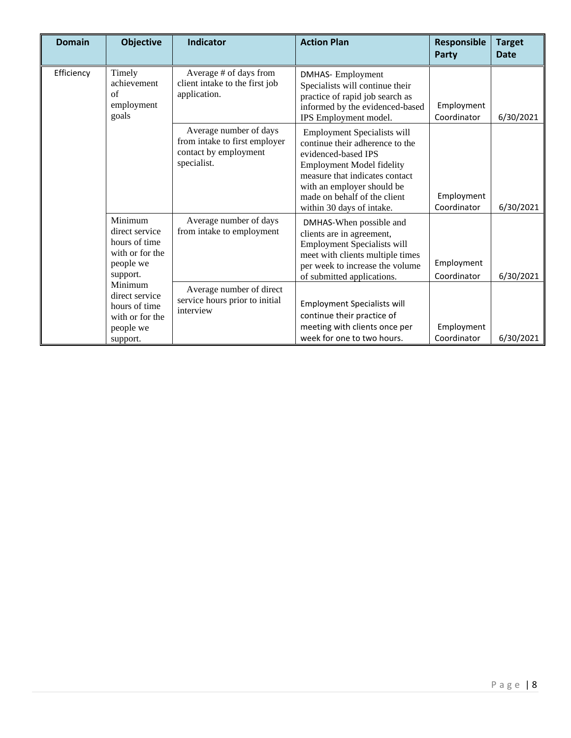| <b>Domain</b> | <b>Objective</b>                                                                       | <b>Indicator</b>                                                                                | <b>Action Plan</b>                                                                                                                                                                                                                                     | <b>Responsible</b><br><b>Party</b> | <b>Target</b><br><b>Date</b> |
|---------------|----------------------------------------------------------------------------------------|-------------------------------------------------------------------------------------------------|--------------------------------------------------------------------------------------------------------------------------------------------------------------------------------------------------------------------------------------------------------|------------------------------------|------------------------------|
| Efficiency    | Timely<br>achievement<br>of<br>employment<br>goals                                     | Average # of days from<br>client intake to the first job<br>application.                        | <b>DMHAS-Employment</b><br>Specialists will continue their<br>practice of rapid job search as<br>informed by the evidenced-based<br>IPS Employment model.                                                                                              | Employment<br>Coordinator          | 6/30/2021                    |
|               |                                                                                        | Average number of days<br>from intake to first employer<br>contact by employment<br>specialist. | Employment Specialists will<br>continue their adherence to the<br>evidenced-based IPS<br><b>Employment Model fidelity</b><br>measure that indicates contact<br>with an employer should be<br>made on behalf of the client<br>within 30 days of intake. | Employment<br>Coordinator          | 6/30/2021                    |
|               | Minimum<br>direct service<br>hours of time<br>with or for the<br>people we<br>support. | Average number of days<br>from intake to employment                                             | DMHAS-When possible and<br>clients are in agreement,<br><b>Employment Specialists will</b><br>meet with clients multiple times<br>per week to increase the volume<br>of submitted applications.                                                        | Employment<br>Coordinator          | 6/30/2021                    |
|               | Minimum<br>direct service<br>hours of time<br>with or for the<br>people we<br>support. | Average number of direct<br>service hours prior to initial<br>interview                         | <b>Employment Specialists will</b><br>continue their practice of<br>meeting with clients once per<br>week for one to two hours.                                                                                                                        | Employment<br>Coordinator          | 6/30/2021                    |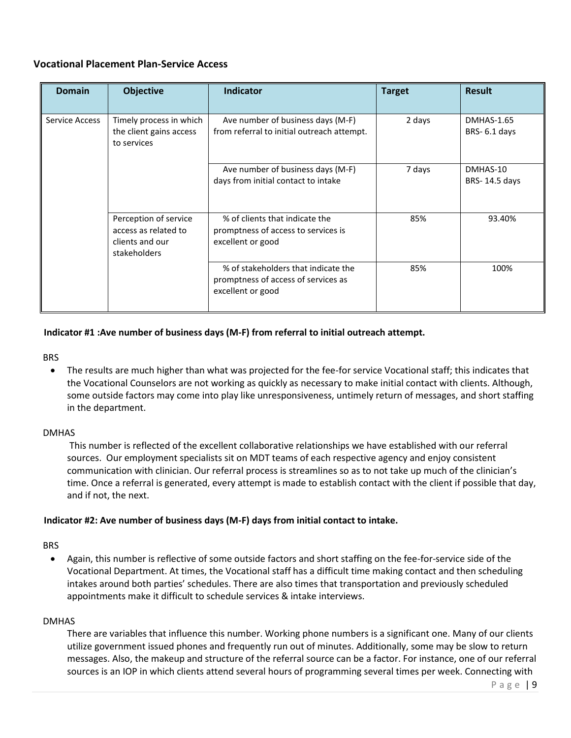## **Vocational Placement Plan-Service Access**

| <b>Domain</b>  | <b>Objective</b>                                                                 | <b>Indicator</b>                                                                                | <b>Target</b> | <b>Result</b>                     |
|----------------|----------------------------------------------------------------------------------|-------------------------------------------------------------------------------------------------|---------------|-----------------------------------|
| Service Access | Timely process in which<br>the client gains access<br>to services                | Ave number of business days (M-F)<br>from referral to initial outreach attempt.                 | 2 days        | <b>DMHAS-1.65</b><br>BRS-6.1 days |
|                |                                                                                  | Ave number of business days (M-F)<br>days from initial contact to intake                        | 7 days        | DMHAS-10<br>BRS-14.5 days         |
|                | Perception of service<br>access as related to<br>clients and our<br>stakeholders | % of clients that indicate the<br>promptness of access to services is<br>excellent or good      | 85%           | 93.40%                            |
|                |                                                                                  | % of stakeholders that indicate the<br>promptness of access of services as<br>excellent or good | 85%           | 100%                              |

#### **Indicator #1 :Ave number of business days (M-F) from referral to initial outreach attempt.**

BRS

• The results are much higher than what was projected for the fee-for service Vocational staff; this indicates that the Vocational Counselors are not working as quickly as necessary to make initial contact with clients. Although, some outside factors may come into play like unresponsiveness, untimely return of messages, and short staffing in the department.

#### DMHAS

This number is reflected of the excellent collaborative relationships we have established with our referral sources. Our employment specialists sit on MDT teams of each respective agency and enjoy consistent communication with clinician. Our referral process is streamlines so as to not take up much of the clinician's time. Once a referral is generated, every attempt is made to establish contact with the client if possible that day, and if not, the next.

#### **Indicator #2: Ave number of business days (M-F) days from initial contact to intake.**

#### BRS

• Again, this number is reflective of some outside factors and short staffing on the fee-for-service side of the Vocational Department. At times, the Vocational staff has a difficult time making contact and then scheduling intakes around both parties' schedules. There are also times that transportation and previously scheduled appointments make it difficult to schedule services & intake interviews.

#### DMHAS

There are variables that influence this number. Working phone numbers is a significant one. Many of our clients utilize government issued phones and frequently run out of minutes. Additionally, some may be slow to return messages. Also, the makeup and structure of the referral source can be a factor. For instance, one of our referral sources is an IOP in which clients attend several hours of programming several times per week. Connecting with